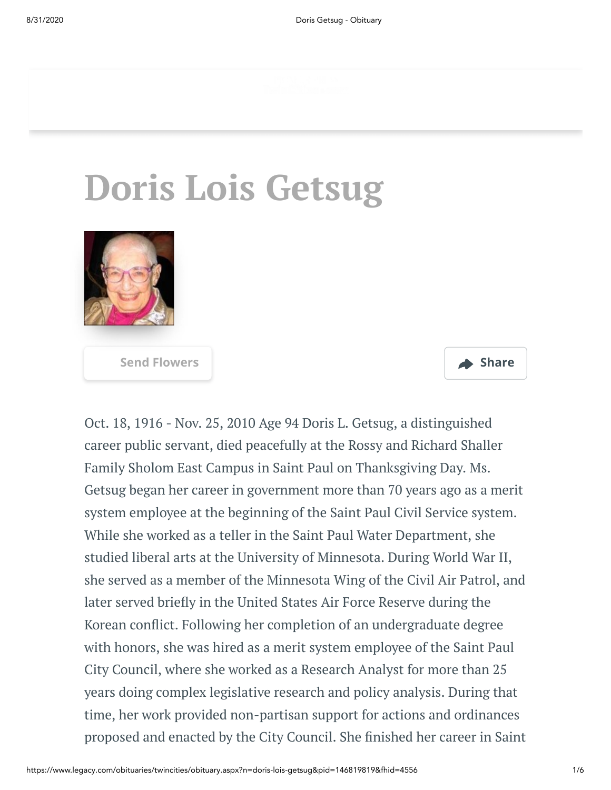# **Doris Lois Getsug**





Oct. 18, 1916 - Nov. 25, 2010 Age 94 Doris L. Getsug, a distinguished career public servant, died peacefully at the Rossy and Richard Shaller Family Sholom East Campus in Saint Paul on Thanksgiving Day. Ms. Getsug began her career in government more than 70 years ago as a merit system employee at the beginning of the Saint Paul Civil Service system. While she worked as a teller in the Saint Paul Water Department, she studied liberal arts at the University of Minnesota. During World War II, she served as a member of the Minnesota Wing of the Civil Air Patrol, and later served briefly in the United States Air Force Reserve during the Korean conflict. Following her completion of an undergraduate degree with honors, she was hired as a merit system employee of the Saint Paul City Council, where she worked as a Research Analyst for more than 25 years doing complex legislative research and policy analysis. During that time, her work provided non-partisan support for actions and ordinances proposed and enacted by the City Council. She finished her career in Saint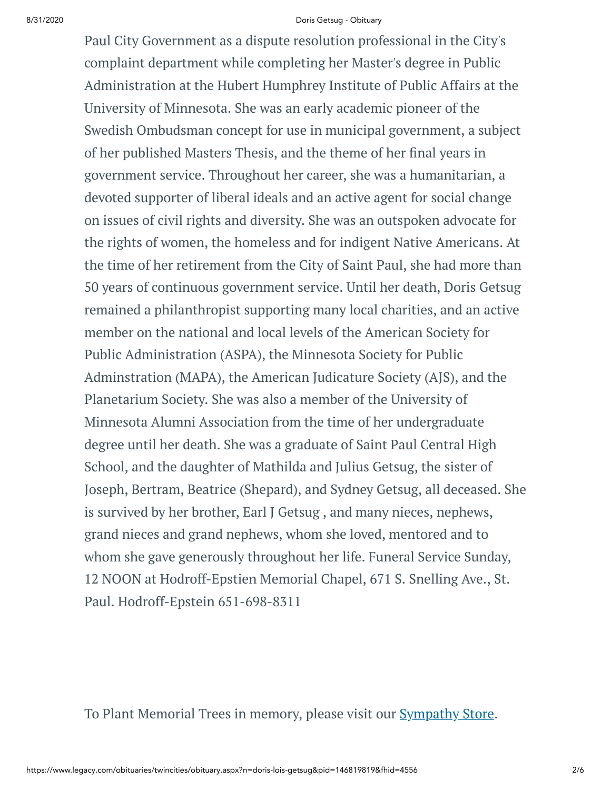#### 8/31/2020 Doris Getsug - Obituary

Paul City Government as a dispute resolution professional in the City's complaint department while completing her Master's degree in Public Administration at the Hubert Humphrey Institute of Public Affairs at the University of Minnesota. She was an early academic pioneer of the Swedish Ombudsman concept for use in municipal government, a subject of her published Masters Thesis, and the theme of her final years in government service. Throughout her career, she was a humanitarian, a devoted supporter of liberal ideals and an active agent for social change on issues of civil rights and diversity. She was an outspoken advocate for the rights of women, the homeless and for indigent Native Americans. At the time of her retirement from the City of Saint Paul, she had more than 50 years of continuous government service. Until her death, Doris Getsug remained a philanthropist supporting many local charities, and an active member on the national and local levels of the American Society for Public Administration (ASPA), the Minnesota Society for Public Adminstration (MAPA), the American Judicature Society (AJS), and the Planetarium Society. She was also a member of the University of Minnesota Alumni Association from the time of her undergraduate degree until her death. She was a graduate of Saint Paul Central High School, and the daughter of Mathilda and Julius Getsug, the sister of Joseph, Bertram, Beatrice (Shepard), and Sydney Getsug, all deceased. She is survived by her brother, Earl J Getsug , and many nieces, nephews, grand nieces and grand nephews, whom she loved, mentored and to whom she gave generously throughout her life. Funeral Service Sunday, 12 NOON at Hodroff-Epstien Memorial Chapel, 671 S. Snelling Ave., St. Paul. Hodroff-Epstein 651-698-8311

To Plant Memorial Trees in memory, please visit our **[Sympathy](https://sympathy.legacy.com/en-us/funeral-flowers/name/doris-getsug-funeral-flowers/p146819819/?affiliateId=939&pm=240) Store**.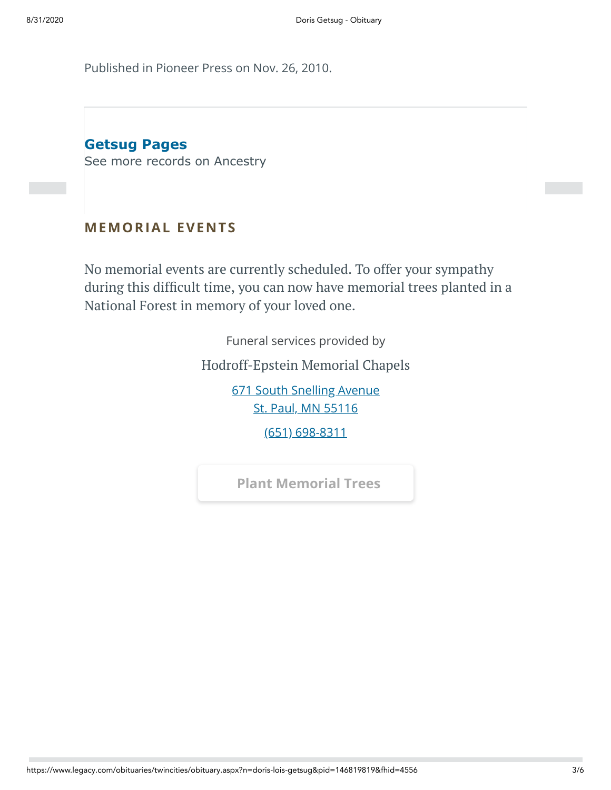Published in Pioneer Press on Nov. 26, 2010.

**Getsug Pages**

[See more records on Ancestry](https://adclick.g.doubleclick.net/pcs/click?xai=AKAOjstW-99NnA4boBcE5TZkoPMrLGC37dTLy1qEqJ10b6UqzHSt55GLjtzmhDADwlKbvI206LjgNzLa2f3CUottRctXKc0UHt_Oa0k3r3WMGHX0Gu1LKebKrEMIDTPoL-XgrEqEGvqzCL_vUR7wz-kTe2h4KvVRMmpLe5oaf2_kJsiX0GelXTPD1k01cAtOucctt_DiDiLWUY1kKqQlj8OT_tMJfozrRxYg4NF9YMEmLlhquZalubnDzpe0J3Nt8JUvM6BWepZ_gtumN4_O_hTKNzvS19Y_wAc9YjDL9MHpt7A1beRGTHcIhg&sig=Cg0ArKJSzEphB1k54fKTEAE&urlfix=1&adurl=https://prf.hn/click/camref:1101l3yjc/adref:77841/destination:https://www.ancestry.com/cs/partner-records%3FflowId%3DpartnersBirth%26gsfn%3DDoris%26gsln%3DGetsug)

#### **MEMORIAL EVENTS**

No memorial events are currently scheduled. To offer your sympathy during this difficult time, you can now have memorial trees planted in a National Forest in memory of your loved one.

Funeral services provided by

[Hodroff-Epstein](https://www.hodroffepsteinmemorialchapels.com/) Memorial Chapels

[671 South Snelling Avenue](https://maps.google.com/?q=671%20South%20Snelling%20Avenue%20St.%20Paul,%20MN%2055116) St. Paul, MN 55116

[\(651\) 698-8311](tel:6516988311)

**[Plant Memorial Trees](https://sympathy.legacy.com/en-us/funeral-flowers/name/doris-getsug-funeral-flowers/p146819819/?affiliateId=939&pm=271)**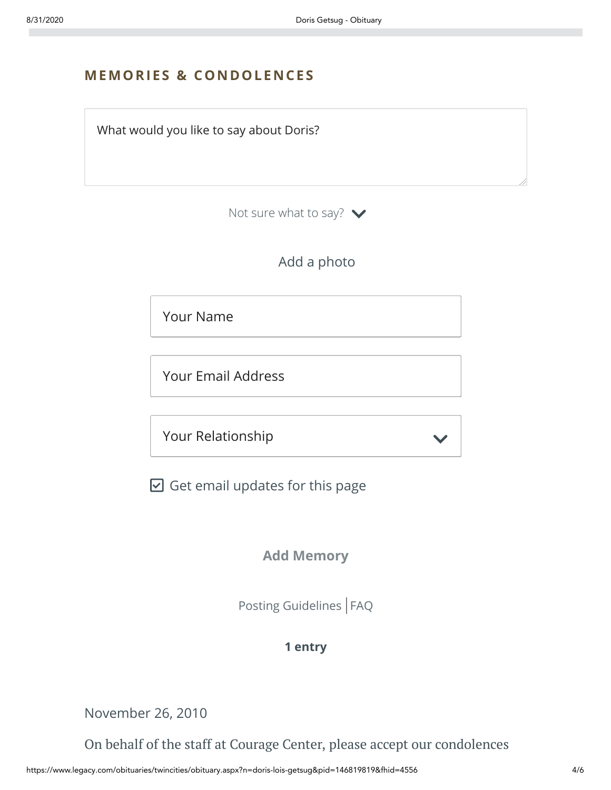# **MEMORIES & CO N DOLE N CES**



Not sure what to say?  $\blacktriangleright$ 

Add a photo

Your Name

Your Email Address

Your Relationship

 $\boxdot$  Get email updates for this page

### **Add Memory**

[Posting Guidelines](https://www.legacy.com/guestbooks/posting-guidelines.aspx?n=Doris-Getsug&pid=146819819) | [FAQ](https://www.legacy.com/guestbooks/faq.aspx?n=Doris-Getsug&pid=146819819)

#### **1 entry**

November 26, 2010

On behalf of the staff at Courage Center, please accept our condolences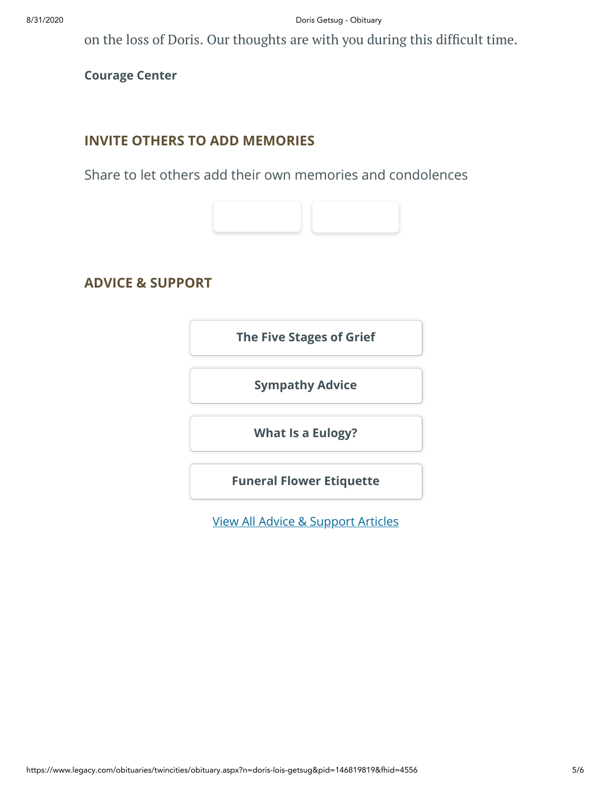on the loss of Doris. Our thoughts are with you during this difficult time.

**Courage Center**

#### **INVITE OTHERS TO ADD MEMORIES**

Share to let others add their own memories and condolences



## **ADVICE & SUPPORT**

**[The Five Stages of Grief](https://www.legacy.com/news/advice-and-support/article/the-five-stages-of-grief)**

**[Sympathy Advice](https://www.legacy.com/news/advice-and-support/article/sympathy-and-condolence-advice)**

**[What Is a Eulogy?](https://www.legacy.com/news/advice-and-support/article/what-is-a-eulogy)**

**[Funeral Flower Etiquette](https://sympathy.legacy.com//en-us/funeral-flowers/article/funeral-flower-etiquette/)**

[View All Advice & Support Articles](http://www.legacy.com/news/advice-and-support)